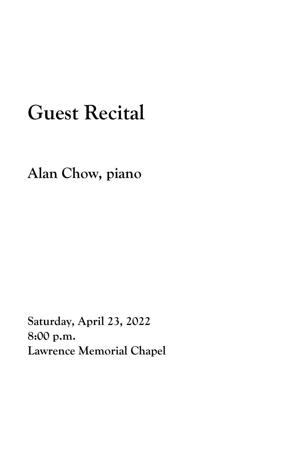## **Guest Recital**

**Alan Chow, piano**

**Saturday, April 23, 2022 8:00 p.m. Lawrence Memorial Chapel**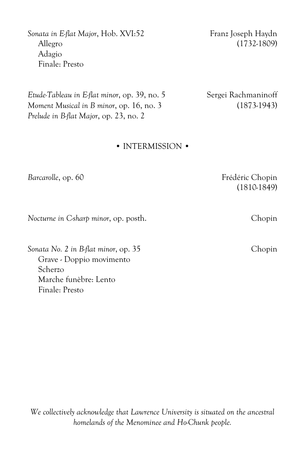Sonata in E-flat Major, Hob. XVI:52 Franz Joseph Haydn Allegro (1732-1809) Adagio Finale: Presto

*Etude-Tableau in E-flat minor*, op. 39, no. 5 Sergei Rachmaninoff *Moment Musical in B minor*, op. 16, no. 3 (1873-1943) *Prelude in B-flat Major*, op. 23, no. 2

## • INTERMISSION •

*Barcarolle*, op. 60 Frédéric Chopin (1810-1849)

*Nocturne in C-sharp minor*, op. posth. Chopin

*Sonata No. 2 in B-flat minor*, op. 35 Chopin Grave - Doppio movimento Scherzo Marche funèbre: Lento Finale: Presto

*We collectively acknowledge that Lawrence University is situated on the ancestral homelands of the Menominee and Ho-Chunk people.*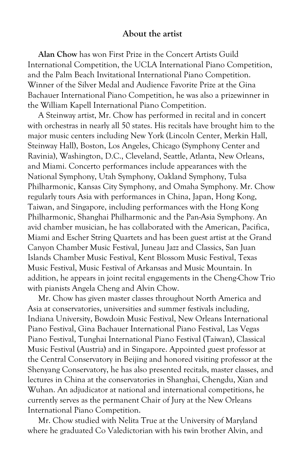## **About the artist**

**Alan Chow** has won First Prize in the Concert Artists Guild International Competition, the UCLA International Piano Competition, and the Palm Beach Invitational International Piano Competition. Winner of the Silver Medal and Audience Favorite Prize at the Gina Bachauer International Piano Competition, he was also a prizewinner in the William Kapell International Piano Competition.

A Steinway artist, Mr. Chow has performed in recital and in concert with orchestras in nearly all 50 states. His recitals have brought him to the major music centers including New York (Lincoln Center, Merkin Hall, Steinway Hall), Boston, Los Angeles, Chicago (Symphony Center and Ravinia), Washington, D.C., Cleveland, Seattle, Atlanta, New Orleans, and Miami. Concerto performances include appearances with the National Symphony, Utah Symphony, Oakland Symphony, Tulsa Philharmonic, Kansas City Symphony, and Omaha Symphony. Mr. Chow regularly tours Asia with performances in China, Japan, Hong Kong, Taiwan, and Singapore, including performances with the Hong Kong Philharmonic, Shanghai Philharmonic and the Pan-Asia Symphony. An avid chamber musician, he has collaborated with the American, Pacifica, Miami and Escher String Quartets and has been guest artist at the Grand Canyon Chamber Music Festival, Juneau Jazz and Classics, San Juan Islands Chamber Music Festival, Kent Blossom Music Festival, Texas Music Festival, Music Festival of Arkansas and Music Mountain. In addition, he appears in joint recital engagements in the Cheng-Chow Trio with pianists Angela Cheng and Alvin Chow.

Mr. Chow has given master classes throughout North America and Asia at conservatories, universities and summer festivals including, Indiana University, Bowdoin Music Festival, New Orleans International Piano Festival, Gina Bachauer International Piano Festival, Las Vegas Piano Festival, Tunghai International Piano Festival (Taiwan), Classical Music Festival (Austria) and in Singapore. Appointed guest professor at the Central Conservatory in Beijing and honored visiting professor at the Shenyang Conservatory, he has also presented recitals, master classes, and lectures in China at the conservatories in Shanghai, Chengdu, Xian and Wuhan. An adjudicator at national and international competitions, he currently serves as the permanent Chair of Jury at the New Orleans International Piano Competition.

Mr. Chow studied with Nelita True at the University of Maryland where he graduated Co Valedictorian with his twin brother Alvin, and